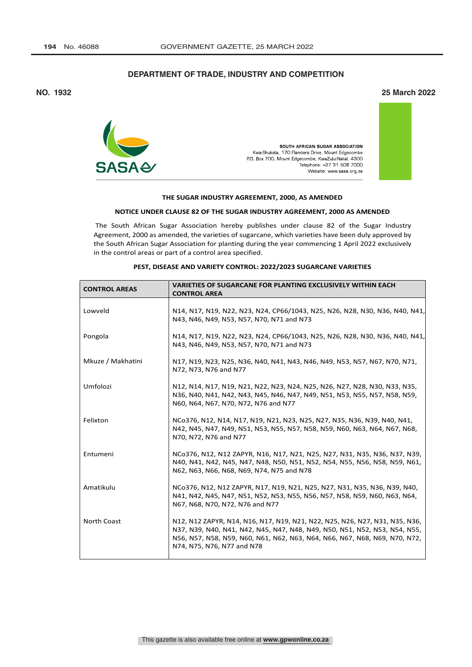# **DEPARTMENT OF TRADE, INDUSTRY AND COMPETITION**

## **NO. 1932 25 March 2022**



#### **THE SUGAR INDUSTRY AGREEMENT, 2000, AS AMENDED**

#### **NOTICE UNDER CLAUSE 82 OF THE SUGAR INDUSTRY AGREEMENT, 2000 AS AMENDED**

The South African Sugar Association hereby publishes under clause 82 of the Sugar Industry Agreement, 2000 as amended, the varieties of sugarcane, which varieties have been duly approved by the South African Sugar Association for planting during the year commencing 1 April 2022 exclusively in the control areas or part of a control area specified.

| <b>CONTROL AREAS</b> | <b>VARIETIES OF SUGARCANE FOR PLANTING EXCLUSIVELY WITHIN EACH</b><br><b>CONTROL AREA</b>                                                                                                                                                                             |
|----------------------|-----------------------------------------------------------------------------------------------------------------------------------------------------------------------------------------------------------------------------------------------------------------------|
| Lowveld              | N14, N17, N19, N22, N23, N24, CP66/1043, N25, N26, N28, N30, N36, N40, N41,<br>N43, N46, N49, N53, N57, N70, N71 and N73                                                                                                                                              |
| Pongola              | N14, N17, N19, N22, N23, N24, CP66/1043, N25, N26, N28, N30, N36, N40, N41,<br>N43, N46, N49, N53, N57, N70, N71 and N73                                                                                                                                              |
| Mkuze / Makhatini    | N17, N19, N23, N25, N36, N40, N41, N43, N46, N49, N53, N57, N67, N70, N71,<br>N72, N73, N76 and N77                                                                                                                                                                   |
| Umfolozi             | N12, N14, N17, N19, N21, N22, N23, N24, N25, N26, N27, N28, N30, N33, N35,<br>N36, N40, N41, N42, N43, N45, N46, N47, N49, N51, N53, N55, N57, N58, N59,<br>N60, N64, N67, N70, N72, N76 and N77                                                                      |
| Felixton             | NCo376, N12, N14, N17, N19, N21, N23, N25, N27, N35, N36, N39, N40, N41,<br>N42, N45, N47, N49, N51, N53, N55, N57, N58, N59, N60, N63, N64, N67, N68,<br>N70, N72, N76 and N77                                                                                       |
| Entumeni             | NCo376, N12, N12 ZAPYR, N16, N17, N21, N25, N27, N31, N35, N36, N37, N39,<br>N40, N41, N42, N45, N47, N48, N50, N51, N52, N54, N55, N56, N58, N59, N61,<br>N62, N63, N66, N68, N69, N74, N75 and N78                                                                  |
| Amatikulu            | NCo376, N12, N12 ZAPYR, N17, N19, N21, N25, N27, N31, N35, N36, N39, N40,<br>N41, N42, N45, N47, N51, N52, N53, N55, N56, N57, N58, N59, N60, N63, N64,<br>N67, N68, N70, N72, N76 and N77                                                                            |
| North Coast          | N12, N12 ZAPYR, N14, N16, N17, N19, N21, N22, N25, N26, N27, N31, N35, N36,<br>N37, N39, N40, N41, N42, N45, N47, N48, N49, N50, N51, N52, N53, N54, N55,<br>N56, N57, N58, N59, N60, N61, N62, N63, N64, N66, N67, N68, N69, N70, N72,<br>N74, N75, N76, N77 and N78 |

#### **PEST, DISEASE AND VARIETY CONTROL: 2022/2023 SUGARCANE VARIETIES**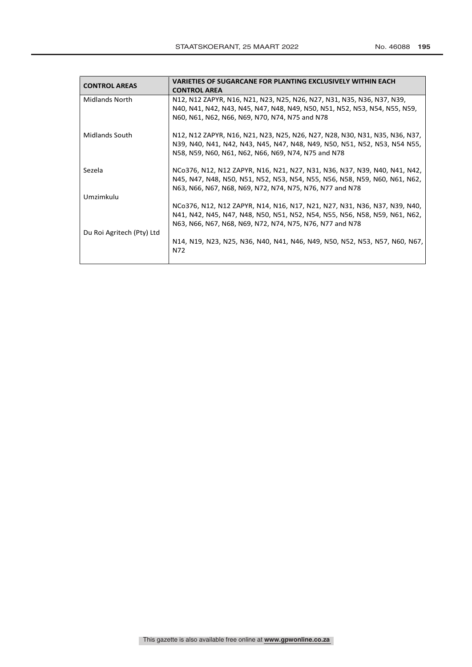| <b>CONTROL AREAS</b>      | <b>VARIETIES OF SUGARCANE FOR PLANTING EXCLUSIVELY WITHIN EACH</b>          |
|---------------------------|-----------------------------------------------------------------------------|
|                           | <b>CONTROL AREA</b>                                                         |
| <b>Midlands North</b>     | N12, N12 ZAPYR, N16, N21, N23, N25, N26, N27, N31, N35, N36, N37, N39,      |
|                           | N40, N41, N42, N43, N45, N47, N48, N49, N50, N51, N52, N53, N54, N55, N59,  |
|                           | N60, N61, N62, N66, N69, N70, N74, N75 and N78                              |
| <b>Midlands South</b>     | N12, N12 ZAPYR, N16, N21, N23, N25, N26, N27, N28, N30, N31, N35, N36, N37, |
|                           | N39, N40, N41, N42, N43, N45, N47, N48, N49, N50, N51, N52, N53, N54 N55,   |
|                           | N58, N59, N60, N61, N62, N66, N69, N74, N75 and N78                         |
| Sezela                    | NCo376, N12, N12 ZAPYR, N16, N21, N27, N31, N36, N37, N39, N40, N41, N42,   |
|                           | N45, N47, N48, N50, N51, N52, N53, N54, N55, N56, N58, N59, N60, N61, N62,  |
|                           | N63, N66, N67, N68, N69, N72, N74, N75, N76, N77 and N78                    |
| Umzimkulu                 |                                                                             |
|                           | NCo376, N12, N12 ZAPYR, N14, N16, N17, N21, N27, N31, N36, N37, N39, N40,   |
|                           | N41, N42, N45, N47, N48, N50, N51, N52, N54, N55, N56, N58, N59, N61, N62,  |
|                           | N63, N66, N67, N68, N69, N72, N74, N75, N76, N77 and N78                    |
| Du Roi Agritech (Pty) Ltd |                                                                             |
|                           | N14, N19, N23, N25, N36, N40, N41, N46, N49, N50, N52, N53, N57, N60, N67,  |
|                           | N72                                                                         |
|                           |                                                                             |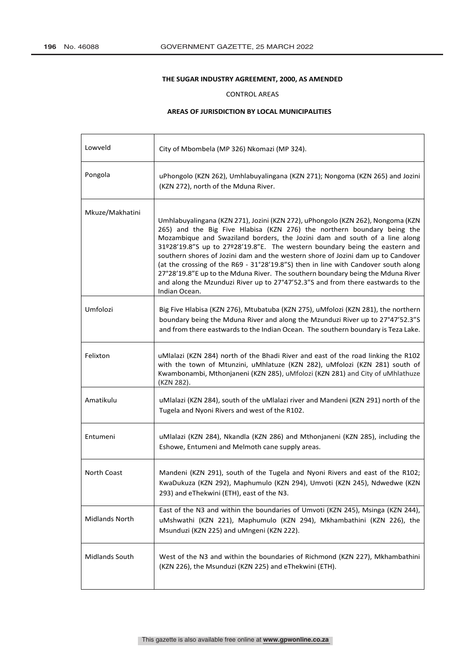r.

### **THE SUGAR INDUSTRY AGREEMENT, 2000, AS AMENDED**

### CONTROL AREAS

### **AREAS OF JURISDICTION BY LOCAL MUNICIPALITIES**

| Lowveld         | City of Mbombela (MP 326) Nkomazi (MP 324).                                                                                                                                                                                                                                                                                                                                                                                                                                                                                                                                                                                                                                              |
|-----------------|------------------------------------------------------------------------------------------------------------------------------------------------------------------------------------------------------------------------------------------------------------------------------------------------------------------------------------------------------------------------------------------------------------------------------------------------------------------------------------------------------------------------------------------------------------------------------------------------------------------------------------------------------------------------------------------|
| Pongola         | uPhongolo (KZN 262), Umhlabuyalingana (KZN 271); Nongoma (KZN 265) and Jozini<br>(KZN 272), north of the Mduna River.                                                                                                                                                                                                                                                                                                                                                                                                                                                                                                                                                                    |
| Mkuze/Makhatini | Umhlabuyalingana (KZN 271), Jozini (KZN 272), uPhongolo (KZN 262), Nongoma (KZN<br>265) and the Big Five Hlabisa (KZN 276) the northern boundary being the<br>Mozambique and Swaziland borders, the Jozini dam and south of a line along<br>31º28'19.8"S up to 27º28'19.8"E. The western boundary being the eastern and<br>southern shores of Jozini dam and the western shore of Jozini dam up to Candover<br>(at the crossing of the R69 - 31°28'19.8"S) then in line with Candover south along<br>27°28'19.8"E up to the Mduna River. The southern boundary being the Mduna River<br>and along the Mzunduzi River up to 27°47'52.3"S and from there eastwards to the<br>Indian Ocean. |
| Umfolozi        | Big Five Hlabisa (KZN 276), Mtubatuba (KZN 275), uMfolozi (KZN 281), the northern<br>boundary being the Mduna River and along the Mzunduzi River up to 27°47'52.3"S<br>and from there eastwards to the Indian Ocean. The southern boundary is Teza Lake.                                                                                                                                                                                                                                                                                                                                                                                                                                 |
| Felixton        | uMlalazi (KZN 284) north of the Bhadi River and east of the road linking the R102<br>with the town of Mtunzini, uMhlatuze (KZN 282), uMfolozi (KZN 281) south of<br>Kwambonambi, Mthonjaneni (KZN 285), uMfolozi (KZN 281) and City of uMhlathuze<br>(KZN 282).                                                                                                                                                                                                                                                                                                                                                                                                                          |
| Amatikulu       | uMlalazi (KZN 284), south of the uMlalazi river and Mandeni (KZN 291) north of the<br>Tugela and Nyoni Rivers and west of the R102.                                                                                                                                                                                                                                                                                                                                                                                                                                                                                                                                                      |
| Entumeni        | uMlalazi (KZN 284), Nkandla (KZN 286) and Mthonjaneni (KZN 285), including the<br>Eshowe, Entumeni and Melmoth cane supply areas.                                                                                                                                                                                                                                                                                                                                                                                                                                                                                                                                                        |
| North Coast     | Mandeni (KZN 291), south of the Tugela and Nyoni Rivers and east of the R102;<br>KwaDukuza (KZN 292), Maphumulo (KZN 294), Umvoti (KZN 245), Ndwedwe (KZN<br>293) and eThekwini (ETH), east of the N3.                                                                                                                                                                                                                                                                                                                                                                                                                                                                                   |
| Midlands North  | East of the N3 and within the boundaries of Umvoti (KZN 245), Msinga (KZN 244),<br>uMshwathi (KZN 221), Maphumulo (KZN 294), Mkhambathini (KZN 226), the<br>Msunduzi (KZN 225) and uMngeni (KZN 222).                                                                                                                                                                                                                                                                                                                                                                                                                                                                                    |
| Midlands South  | West of the N3 and within the boundaries of Richmond (KZN 227), Mkhambathini<br>(KZN 226), the Msunduzi (KZN 225) and eThekwini (ETH).                                                                                                                                                                                                                                                                                                                                                                                                                                                                                                                                                   |